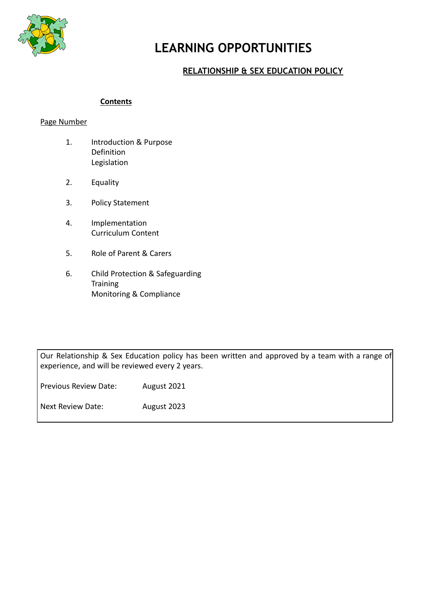

# **LEARNING OPPORTUNITIES**

# **RELATIONSHIP & SEX EDUCATION POLICY**

#### **Contents**

#### Page Number

- 1. Introduction & Purpose Definition Legislation
- 2. Equality
- 3. Policy Statement
- 4. Implementation Curriculum Content
- 5. Role of Parent & Carers
- 6. Child Protection & Safeguarding **Training** Monitoring & Compliance

Our Relationship & Sex Education policy has been written and approved by a team with a range of experience, and will be reviewed every 2 years.

| <b>Previous Review Date:</b> | August 2021 |
|------------------------------|-------------|
| Next Review Date:            | August 2023 |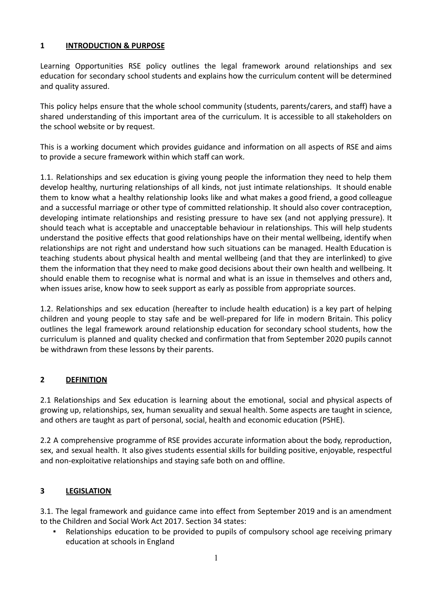## **1 INTRODUCTION & PURPOSE**

Learning Opportunities RSE policy outlines the legal framework around relationships and sex education for secondary school students and explains how the curriculum content will be determined and quality assured.

This policy helps ensure that the whole school community (students, parents/carers, and staff) have a shared understanding of this important area of the curriculum. It is accessible to all stakeholders on the school website or by request.

This is a working document which provides guidance and information on all aspects of RSE and aims to provide a secure framework within which staff can work.

1.1. Relationships and sex education is giving young people the information they need to help them develop healthy, nurturing relationships of all kinds, not just intimate relationships. It should enable them to know what a healthy relationship looks like and what makes a good friend, a good colleague and a successful marriage or other type of committed relationship. It should also cover contraception, developing intimate relationships and resisting pressure to have sex (and not applying pressure). It should teach what is acceptable and unacceptable behaviour in relationships. This will help students understand the positive effects that good relationships have on their mental wellbeing, identify when relationships are not right and understand how such situations can be managed. Health Education is teaching students about physical health and mental wellbeing (and that they are interlinked) to give them the information that they need to make good decisions about their own health and wellbeing. It should enable them to recognise what is normal and what is an issue in themselves and others and, when issues arise, know how to seek support as early as possible from appropriate sources.

1.2. Relationships and sex education (hereafter to include health education) is a key part of helping children and young people to stay safe and be well-prepared for life in modern Britain. This policy outlines the legal framework around relationship education for secondary school students, how the curriculum is planned and quality checked and confirmation that from September 2020 pupils cannot be withdrawn from these lessons by their parents.

# **2 DEFINITION**

2.1 Relationships and Sex education is learning about the emotional, social and physical aspects of growing up, relationships, sex, human sexuality and sexual health. Some aspects are taught in science, and others are taught as part of personal, social, health and economic education (PSHE).

2.2 A comprehensive programme of RSE provides accurate information about the body, reproduction, sex, and sexual health. It also gives students essential skills for building positive, enjoyable, respectful and non-exploitative relationships and staying safe both on and offline.

# **3 LEGISLATION**

3.1. The legal framework and guidance came into effect from September 2019 and is an amendment to the Children and Social Work Act 2017. Section 34 states:

Relationships education to be provided to pupils of compulsory school age receiving primary education at schools in England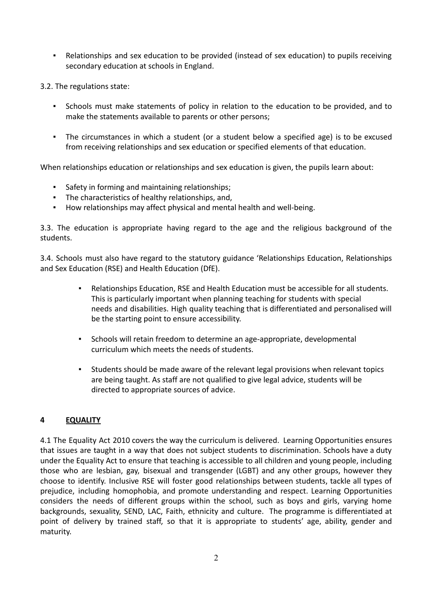▪ Relationships and sex education to be provided (instead of sex education) to pupils receiving secondary education at schools in England.

3.2. The regulations state:

- Schools must make statements of policy in relation to the education to be provided, and to make the statements available to parents or other persons;
- The circumstances in which a student (or a student below a specified age) is to be excused from receiving relationships and sex education or specified elements of that education.

When relationships education or relationships and sex education is given, the pupils learn about:

- Safety in forming and maintaining relationships;
- The characteristics of healthy relationships, and,
- How relationships may affect physical and mental health and well-being.

3.3. The education is appropriate having regard to the age and the religious background of the students.

3.4. Schools must also have regard to the statutory guidance 'Relationships Education, Relationships and Sex Education (RSE) and Health Education (DfE).

- Relationships Education, RSE and Health Education must be accessible for all students. This is particularly important when planning teaching for students with special needs and disabilities. High quality teaching that is differentiated and personalised will be the starting point to ensure accessibility.
- Schools will retain freedom to determine an age-appropriate, developmental curriculum which meets the needs of students.
- Students should be made aware of the relevant legal provisions when relevant topics are being taught. As staff are not qualified to give legal advice, students will be directed to appropriate sources of advice.

## **4 EQUALITY**

4.1 The Equality Act 2010 covers the way the curriculum is delivered. Learning Opportunities ensures that issues are taught in a way that does not subject students to discrimination. Schools have a duty under the Equality Act to ensure that teaching is accessible to all children and young people, including those who are lesbian, gay, bisexual and transgender (LGBT) and any other groups, however they choose to identify. Inclusive RSE will foster good relationships between students, tackle all types of prejudice, including homophobia, and promote understanding and respect. Learning Opportunities considers the needs of different groups within the school, such as boys and girls, varying home backgrounds, sexuality, SEND, LAC, Faith, ethnicity and culture. The programme is differentiated at point of delivery by trained staff, so that it is appropriate to students' age, ability, gender and maturity.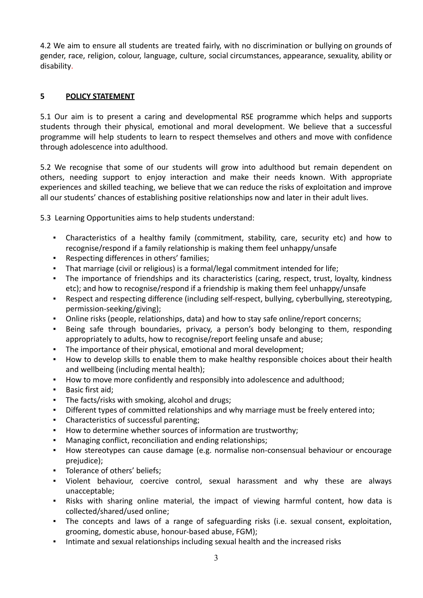4.2 We aim to ensure all students are treated fairly, with no discrimination or bullying on grounds of gender, race, religion, colour, language, culture, social circumstances, appearance, sexuality, ability or disability.

## **5 POLICY STATEMENT**

5.1 Our aim is to present a caring and developmental RSE programme which helps and supports students through their physical, emotional and moral development. We believe that a successful programme will help students to learn to respect themselves and others and move with confidence through adolescence into adulthood.

5.2 We recognise that some of our students will grow into adulthood but remain dependent on others, needing support to enjoy interaction and make their needs known. With appropriate experiences and skilled teaching, we believe that we can reduce the risks of exploitation and improve all our students' chances of establishing positive relationships now and later in their adult lives.

5.3 Learning Opportunities aims to help students understand:

- Characteristics of a healthy family (commitment, stability, care, security etc) and how to recognise/respond if a family relationship is making them feel unhappy/unsafe
- Respecting differences in others' families;
- That marriage (civil or religious) is a formal/legal commitment intended for life;
- The importance of friendships and its characteristics (caring, respect, trust, loyalty, kindness etc); and how to recognise/respond if a friendship is making them feel unhappy/unsafe
- Respect and respecting difference (including self-respect, bullying, cyberbullying, stereotyping, permission-seeking/giving);
- Online risks (people, relationships, data) and how to stay safe online/report concerns;
- Being safe through boundaries, privacy, a person's body belonging to them, responding appropriately to adults, how to recognise/report feeling unsafe and abuse;
- The importance of their physical, emotional and moral development;
- How to develop skills to enable them to make healthy responsible choices about their health and wellbeing (including mental health);
- How to move more confidently and responsibly into adolescence and adulthood;
- Basic first aid;
- The facts/risks with smoking, alcohol and drugs;
- Different types of committed relationships and why marriage must be freely entered into;
- Characteristics of successful parenting;
- How to determine whether sources of information are trustworthy;
- Managing conflict, reconciliation and ending relationships;
- How stereotypes can cause damage (e.g. normalise non-consensual behaviour or encourage prejudice);
- Tolerance of others' beliefs;
- Violent behaviour, coercive control, sexual harassment and why these are always unacceptable;
- Risks with sharing online material, the impact of viewing harmful content, how data is collected/shared/used online;
- The concepts and laws of a range of safeguarding risks (i.e. sexual consent, exploitation, grooming, domestic abuse, honour-based abuse, FGM);
- Intimate and sexual relationships including sexual health and the increased risks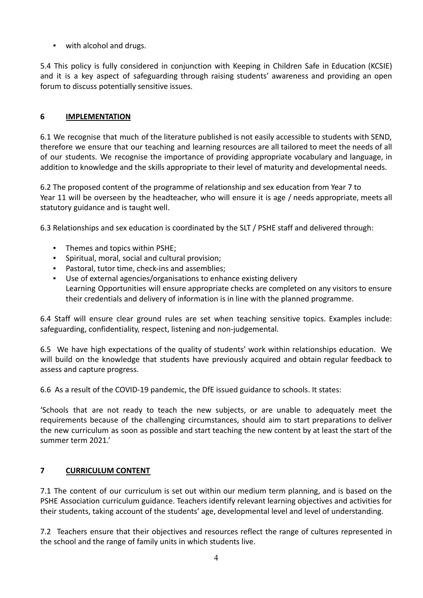▪ with alcohol and drugs.

5.4 This policy is fully considered in conjunction with Keeping in Children Safe in Education (KCSIE) and it is a key aspect of safeguarding through raising students' awareness and providing an open forum to discuss potentially sensitive issues.

# **6 IMPLEMENTATION**

6.1 We recognise that much of the literature published is not easily accessible to students with SEND, therefore we ensure that our teaching and learning resources are all tailored to meet the needs of all of our students. We recognise the importance of providing appropriate vocabulary and language, in addition to knowledge and the skills appropriate to their level of maturity and developmental needs.

6.2 The proposed content of the programme of relationship and sex education from Year 7 to Year 11 will be overseen by the headteacher, who will ensure it is age / needs appropriate, meets all statutory guidance and is taught well.

6.3 Relationships and sex education is coordinated by the SLT / PSHE staff and delivered through:

- Themes and topics within PSHE;
- Spiritual, moral, social and cultural provision;
- Pastoral, tutor time, check-ins and assemblies;
- Use of external agencies/organisations to enhance existing delivery Learning Opportunities will ensure appropriate checks are completed on any visitors to ensure their credentials and delivery of information is in line with the planned programme.

6.4 Staff will ensure clear ground rules are set when teaching sensitive topics. Examples include: safeguarding, confidentiality, respect, listening and non-judgemental.

6.5 We have high expectations of the quality of students' work within relationships education. We will build on the knowledge that students have previously acquired and obtain regular feedback to assess and capture progress.

6.6 As a result of the COVID-19 pandemic, the DfE issued guidance to schools. It states:

'Schools that are not ready to teach the new subjects, or are unable to adequately meet the requirements because of the challenging circumstances, should aim to start preparations to deliver the new curriculum as soon as possible and start teaching the new content by at least the start of the summer term 2021.'

# **7 CURRICULUM CONTENT**

7.1 The content of our curriculum is set out within our medium term planning, and is based on the PSHE Association curriculum guidance. Teachers identify relevant learning objectives and activities for their students, taking account of the students' age, developmental level and level of understanding.

7.2 Teachers ensure that their objectives and resources reflect the range of cultures represented in the school and the range of family units in which students live.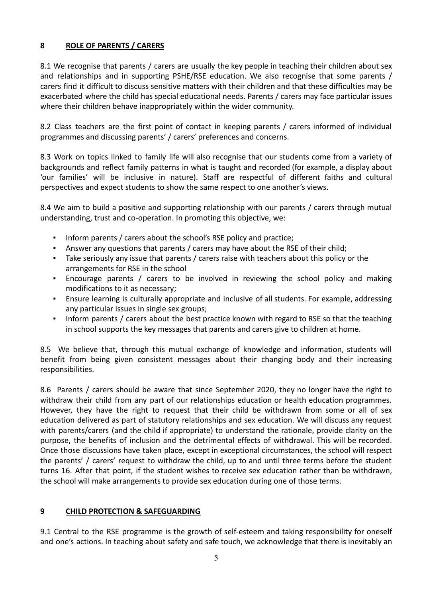# **8 ROLE OF PARENTS / CARERS**

8.1 We recognise that parents / carers are usually the key people in teaching their children about sex and relationships and in supporting PSHE/RSE education. We also recognise that some parents / carers find it difficult to discuss sensitive matters with their children and that these difficulties may be exacerbated where the child has special educational needs. Parents / carers may face particular issues where their children behave inappropriately within the wider community.

8.2 Class teachers are the first point of contact in keeping parents / carers informed of individual programmes and discussing parents' / carers' preferences and concerns.

8.3 Work on topics linked to family life will also recognise that our students come from a variety of backgrounds and reflect family patterns in what is taught and recorded (for example, a display about 'our families' will be inclusive in nature). Staff are respectful of different faiths and cultural perspectives and expect students to show the same respect to one another's views.

8.4 We aim to build a positive and supporting relationship with our parents / carers through mutual understanding, trust and co-operation. In promoting this objective, we:

- Inform parents / carers about the school's RSE policy and practice;
- Answer any questions that parents / carers may have about the RSE of their child;
- Take seriously any issue that parents / carers raise with teachers about this policy or the arrangements for RSE in the school
- Encourage parents / carers to be involved in reviewing the school policy and making modifications to it as necessary;
- Ensure learning is culturally appropriate and inclusive of all students. For example, addressing any particular issues in single sex groups;
- Inform parents / carers about the best practice known with regard to RSE so that the teaching in school supports the key messages that parents and carers give to children at home.

8.5 We believe that, through this mutual exchange of knowledge and information, students will benefit from being given consistent messages about their changing body and their increasing responsibilities.

8.6 Parents / carers should be aware that since September 2020, they no longer have the right to withdraw their child from any part of our relationships education or health education programmes. However, they have the right to request that their child be withdrawn from some or all of sex education delivered as part of statutory relationships and sex education. We will discuss any request with parents/carers (and the child if appropriate) to understand the rationale, provide clarity on the purpose, the benefits of inclusion and the detrimental effects of withdrawal. This will be recorded. Once those discussions have taken place, except in exceptional circumstances, the school will respect the parents' / carers' request to withdraw the child, up to and until three terms before the student turns 16. After that point, if the student wishes to receive sex education rather than be withdrawn, the school will make arrangements to provide sex education during one of those terms.

## **9 CHILD PROTECTION & SAFEGUARDING**

9.1 Central to the RSE programme is the growth of self-esteem and taking responsibility for oneself and one's actions. In teaching about safety and safe touch, we acknowledge that there is inevitably an